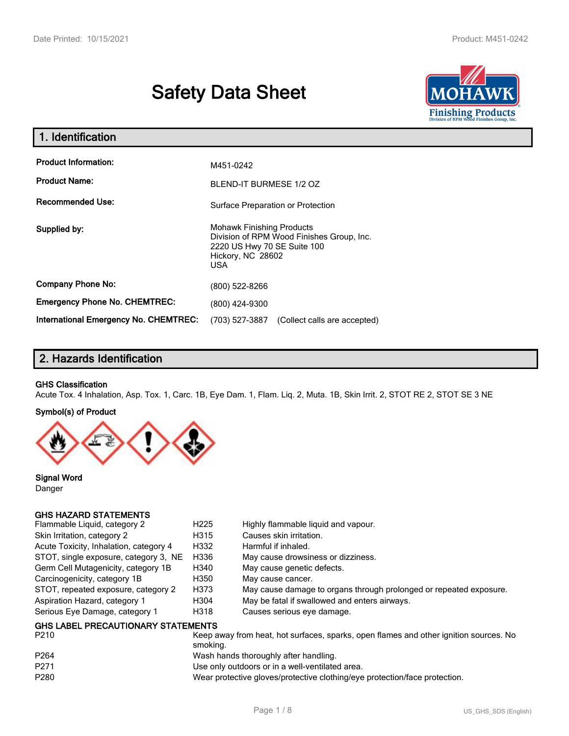# **Safety Data Sheet**



| 1. Identification                            |                                                                                                                                                 |  |  |  |  |
|----------------------------------------------|-------------------------------------------------------------------------------------------------------------------------------------------------|--|--|--|--|
| <b>Product Information:</b>                  | M451-0242                                                                                                                                       |  |  |  |  |
| <b>Product Name:</b>                         | BLEND-IT BURMESE 1/2 OZ                                                                                                                         |  |  |  |  |
| <b>Recommended Use:</b>                      | Surface Preparation or Protection                                                                                                               |  |  |  |  |
| Supplied by:                                 | <b>Mohawk Finishing Products</b><br>Division of RPM Wood Finishes Group, Inc.<br>2220 US Hwy 70 SE Suite 100<br>Hickory, NC 28602<br><b>USA</b> |  |  |  |  |
| <b>Company Phone No:</b>                     | (800) 522-8266                                                                                                                                  |  |  |  |  |
| <b>Emergency Phone No. CHEMTREC:</b>         | (800) 424-9300                                                                                                                                  |  |  |  |  |
| <b>International Emergency No. CHEMTREC:</b> | (703) 527-3887<br>(Collect calls are accepted)                                                                                                  |  |  |  |  |

# **2. Hazards Identification**

#### **GHS Classification**

Acute Tox. 4 Inhalation, Asp. Tox. 1, Carc. 1B, Eye Dam. 1, Flam. Liq. 2, Muta. 1B, Skin Irrit. 2, STOT RE 2, STOT SE 3 NE

#### **Symbol(s) of Product**



**Signal Word** Danger

## **GHS HAZARD STATEMENTS**

| Flammable Liquid, category 2              | H <sub>225</sub> | Highly flammable liquid and vapour.                                |
|-------------------------------------------|------------------|--------------------------------------------------------------------|
| Skin Irritation, category 2               | H315             | Causes skin irritation.                                            |
| Acute Toxicity, Inhalation, category 4    | H332             | Harmful if inhaled.                                                |
| STOT, single exposure, category 3, NE     | H336             | May cause drowsiness or dizziness.                                 |
| Germ Cell Mutagenicity, category 1B       | H340             | May cause genetic defects.                                         |
| Carcinogenicity, category 1B              | H350             | May cause cancer.                                                  |
| STOT, repeated exposure, category 2       | H373             | May cause damage to organs through prolonged or repeated exposure. |
| Aspiration Hazard, category 1             | H304             | May be fatal if swallowed and enters airways.                      |
| Serious Eye Damage, category 1            | H318             | Causes serious eye damage.                                         |
| <b>GHS LABEL PRECAUTIONARY STATEMENTS</b> |                  |                                                                    |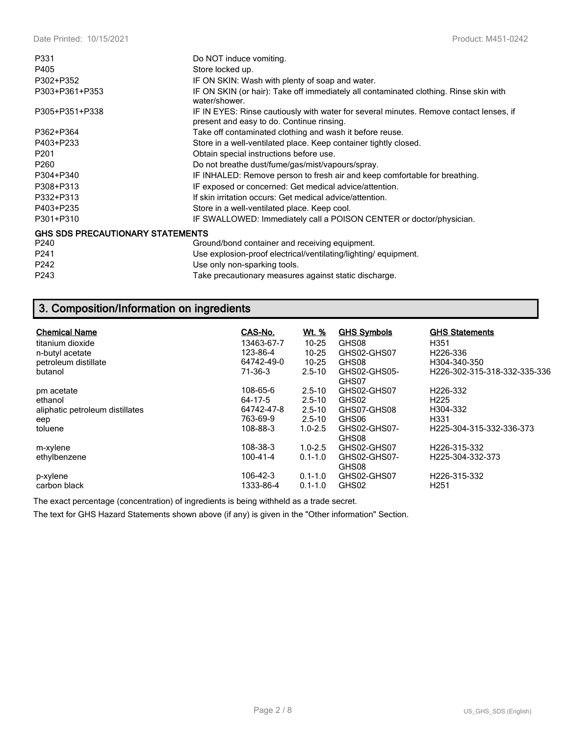| P331                                    | Do NOT induce vomiting.                                                                                                             |
|-----------------------------------------|-------------------------------------------------------------------------------------------------------------------------------------|
| P405                                    | Store locked up.                                                                                                                    |
| P302+P352                               | IF ON SKIN: Wash with plenty of soap and water.                                                                                     |
| P303+P361+P353                          | IF ON SKIN (or hair): Take off immediately all contaminated clothing. Rinse skin with<br>water/shower                               |
| P305+P351+P338                          | IF IN EYES: Rinse cautiously with water for several minutes. Remove contact lenses, if<br>present and easy to do. Continue rinsing. |
| P362+P364                               | Take off contaminated clothing and wash it before reuse.                                                                            |
| P403+P233                               | Store in a well-ventilated place. Keep container tightly closed.                                                                    |
| P <sub>201</sub>                        | Obtain special instructions before use.                                                                                             |
| P <sub>260</sub>                        | Do not breathe dust/fume/gas/mist/vapours/spray.                                                                                    |
| P304+P340                               | IF INHALED: Remove person to fresh air and keep comfortable for breathing.                                                          |
| P308+P313                               | IF exposed or concerned: Get medical advice/attention.                                                                              |
| P332+P313                               | If skin irritation occurs: Get medical advice/attention.                                                                            |
| P403+P235                               | Store in a well-ventilated place. Keep cool.                                                                                        |
| P301+P310                               | IF SWALLOWED: Immediately call a POISON CENTER or doctor/physician.                                                                 |
| <b>GHS SDS PRECAUTIONARY STATEMENTS</b> |                                                                                                                                     |
| P240                                    | Ground/bond container and receiving equipment.                                                                                      |
| P241                                    | Use explosion-proof electrical/ventilating/lighting/equipment.                                                                      |
| P242                                    | Use only non-sparking tools.                                                                                                        |
| P243                                    | Take precautionary measures against static discharge.                                                                               |

# **3. Composition/Information on ingredients**

| <b>Chemical Name</b><br>titanium dioxide<br>n-butyl acetate<br>petroleum distillate<br>butanol | CAS-No.<br>13463-67-7<br>123-86-4<br>64742-49-0<br>71-36-3 | <u>Wt. %</u><br>$10 - 25$<br>$10 - 25$<br>$10 - 25$<br>$2.5 - 10$   | <b>GHS Symbols</b><br>GHS08<br>GHS02-GHS07<br>GHS08<br>GHS02-GHS05-<br>GHS07 | <b>GHS Statements</b><br>H351<br>H226-336<br>H304-340-350<br>H226-302-315-318-332-335-336 |
|------------------------------------------------------------------------------------------------|------------------------------------------------------------|---------------------------------------------------------------------|------------------------------------------------------------------------------|-------------------------------------------------------------------------------------------|
| pm acetate<br>ethanol<br>aliphatic petroleum distillates<br>eep<br>toluene                     | 108-65-6<br>64-17-5<br>64742-47-8<br>763-69-9<br>108-88-3  | $2.5 - 10$<br>$2.5 - 10$<br>$2.5 - 10$<br>$2.5 - 10$<br>$1.0 - 2.5$ | GHS02-GHS07<br>GHS02<br>GHS07-GHS08<br>GHS06<br>GHS02-GHS07-<br>GHS08        | H <sub>226</sub> -332<br>H <sub>225</sub><br>H304-332<br>H331<br>H225-304-315-332-336-373 |
| m-xylene<br>ethylbenzene<br>p-xylene<br>carbon black                                           | 108-38-3<br>$100 - 41 - 4$<br>106-42-3<br>1333-86-4        | $1.0 - 2.5$<br>$0.1 - 1.0$<br>$0.1 - 1.0$<br>$0.1 - 1.0$            | GHS02-GHS07<br>GHS02-GHS07-<br>GHS08<br>GHS02-GHS07<br>GHS02                 | H226-315-332<br>H225-304-332-373<br>H226-315-332<br>H <sub>251</sub>                      |

The exact percentage (concentration) of ingredients is being withheld as a trade secret.

The text for GHS Hazard Statements shown above (if any) is given in the "Other information" Section.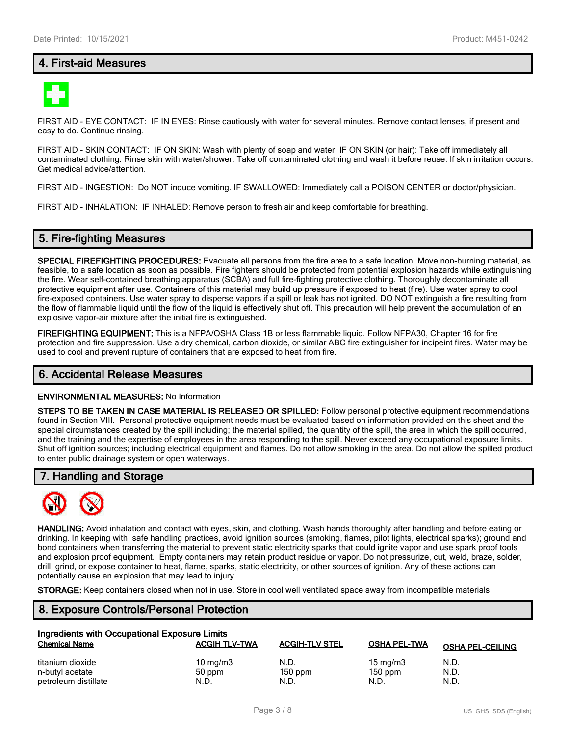# **4. First-aid Measures**



FIRST AID - EYE CONTACT: IF IN EYES: Rinse cautiously with water for several minutes. Remove contact lenses, if present and easy to do. Continue rinsing.

FIRST AID - SKIN CONTACT: IF ON SKIN: Wash with plenty of soap and water. IF ON SKIN (or hair): Take off immediately all contaminated clothing. Rinse skin with water/shower. Take off contaminated clothing and wash it before reuse. If skin irritation occurs: Get medical advice/attention.

FIRST AID - INGESTION: Do NOT induce vomiting. IF SWALLOWED: Immediately call a POISON CENTER or doctor/physician.

FIRST AID - INHALATION: IF INHALED: Remove person to fresh air and keep comfortable for breathing.

## **5. Fire-fighting Measures**

**SPECIAL FIREFIGHTING PROCEDURES:** Evacuate all persons from the fire area to a safe location. Move non-burning material, as feasible, to a safe location as soon as possible. Fire fighters should be protected from potential explosion hazards while extinguishing the fire. Wear self-contained breathing apparatus (SCBA) and full fire-fighting protective clothing. Thoroughly decontaminate all protective equipment after use. Containers of this material may build up pressure if exposed to heat (fire). Use water spray to cool fire-exposed containers. Use water spray to disperse vapors if a spill or leak has not ignited. DO NOT extinguish a fire resulting from the flow of flammable liquid until the flow of the liquid is effectively shut off. This precaution will help prevent the accumulation of an explosive vapor-air mixture after the initial fire is extinguished.

**FIREFIGHTING EQUIPMENT:** This is a NFPA/OSHA Class 1B or less flammable liquid. Follow NFPA30, Chapter 16 for fire protection and fire suppression. Use a dry chemical, carbon dioxide, or similar ABC fire extinguisher for incipeint fires. Water may be used to cool and prevent rupture of containers that are exposed to heat from fire.

## **6. Accidental Release Measures**

#### **ENVIRONMENTAL MEASURES:** No Information

**STEPS TO BE TAKEN IN CASE MATERIAL IS RELEASED OR SPILLED:** Follow personal protective equipment recommendations found in Section VIII. Personal protective equipment needs must be evaluated based on information provided on this sheet and the special circumstances created by the spill including; the material spilled, the quantity of the spill, the area in which the spill occurred, and the training and the expertise of employees in the area responding to the spill. Never exceed any occupational exposure limits. Shut off ignition sources; including electrical equipment and flames. Do not allow smoking in the area. Do not allow the spilled product to enter public drainage system or open waterways.

## **7. Handling and Storage**



**HANDLING:** Avoid inhalation and contact with eyes, skin, and clothing. Wash hands thoroughly after handling and before eating or drinking. In keeping with safe handling practices, avoid ignition sources (smoking, flames, pilot lights, electrical sparks); ground and bond containers when transferring the material to prevent static electricity sparks that could ignite vapor and use spark proof tools and explosion proof equipment. Empty containers may retain product residue or vapor. Do not pressurize, cut, weld, braze, solder, drill, grind, or expose container to heat, flame, sparks, static electricity, or other sources of ignition. Any of these actions can potentially cause an explosion that may lead to injury.

**STORAGE:** Keep containers closed when not in use. Store in cool well ventilated space away from incompatible materials.

## **8. Exposure Controls/Personal Protection**

| Ingredients with Occupational Exposure Limits |                      |                       |                     |                         |  |  |
|-----------------------------------------------|----------------------|-----------------------|---------------------|-------------------------|--|--|
| <b>Chemical Name</b>                          | <b>ACGIH TLV-TWA</b> | <b>ACGIH-TLV STEL</b> | <b>OSHA PEL-TWA</b> | <b>OSHA PEL-CEILING</b> |  |  |
| titanium dioxide                              | 10 mg/m $3$          | N.D.                  | 15 mg/m $3$         | N.D.                    |  |  |
| n-butyl acetate                               | 50 ppm               | $150$ ppm             | $150$ ppm           | N.D.                    |  |  |
| petroleum distillate                          | N.D.                 | N.D.                  | N.D.                | N.D.                    |  |  |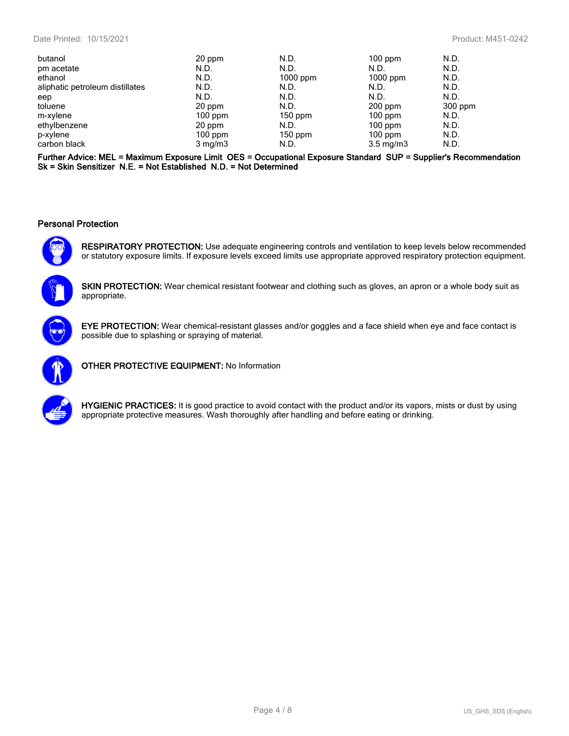| butanol                         | 20 ppm           | N.D.       | $100$ ppm          | N.D.    |
|---------------------------------|------------------|------------|--------------------|---------|
| pm acetate                      | N.D.             | N.D.       | N.D.               | N.D.    |
| ethanol                         | N.D.             | $1000$ ppm | $1000$ ppm         | N.D.    |
| aliphatic petroleum distillates | N.D.             | N.D.       | N.D.               | N.D.    |
| eep                             | N.D.             | N.D.       | N.D.               | N.D.    |
| toluene                         | 20 ppm           | N.D.       | $200$ ppm          | 300 ppm |
| m-xylene                        | $100$ ppm        | $150$ ppm  | $100$ ppm          | N.D.    |
| ethylbenzene                    | 20 ppm           | N.D.       | $100$ ppm          | N.D.    |
| p-xylene                        | $100$ ppm        | $150$ ppm  | $100$ ppm          | N.D.    |
| carbon black                    | $3 \text{ mg/m}$ | N.D.       | $3.5 \text{ mg/m}$ | N.D.    |

**Further Advice: MEL = Maximum Exposure Limit OES = Occupational Exposure Standard SUP = Supplier's Recommendation Sk = Skin Sensitizer N.E. = Not Established N.D. = Not Determined**

#### **Personal Protection**



**RESPIRATORY PROTECTION:** Use adequate engineering controls and ventilation to keep levels below recommended or statutory exposure limits. If exposure levels exceed limits use appropriate approved respiratory protection equipment.



**SKIN PROTECTION:** Wear chemical resistant footwear and clothing such as gloves, an apron or a whole body suit as appropriate.



**EYE PROTECTION:** Wear chemical-resistant glasses and/or goggles and a face shield when eye and face contact is possible due to splashing or spraying of material.



**OTHER PROTECTIVE EQUIPMENT:** No Information



**HYGIENIC PRACTICES:** It is good practice to avoid contact with the product and/or its vapors, mists or dust by using appropriate protective measures. Wash thoroughly after handling and before eating or drinking.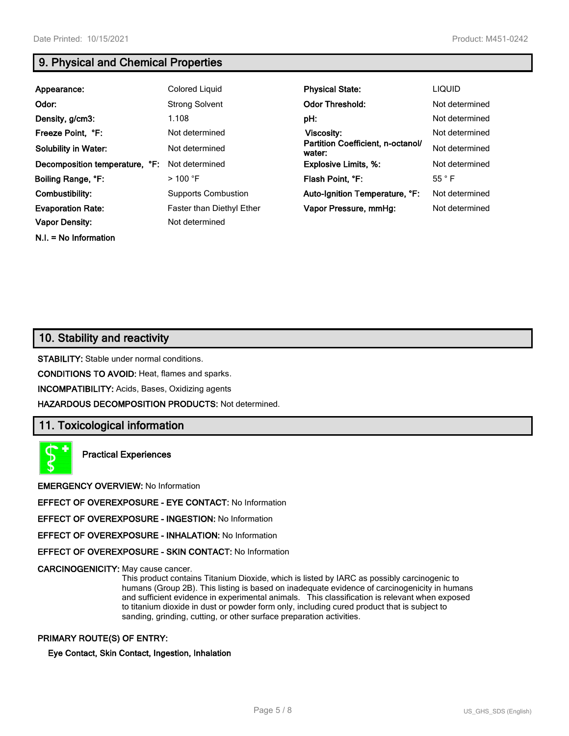**N.I. = No Information**

# **9. Physical and Chemical Properties**

| Appearance:                    | Colored Liquid                   | <b>Physical State:</b>                      | <b>LIQUID</b>  |
|--------------------------------|----------------------------------|---------------------------------------------|----------------|
| Odor:                          | <b>Strong Solvent</b>            | <b>Odor Threshold:</b>                      | Not determined |
| Density, g/cm3:                | 1.108                            | pH:                                         | Not determined |
| Freeze Point, °F:              | Not determined                   | Viscosity:                                  | Not determined |
| <b>Solubility in Water:</b>    | Not determined                   | Partition Coefficient, n-octanol/<br>water: | Not determined |
| Decomposition temperature, °F: | Not determined                   | <b>Explosive Limits, %:</b>                 | Not determined |
| Boiling Range, °F:             | $>$ 100 °F                       | Flash Point, °F:                            | $55^{\circ}$ F |
| Combustibility:                | <b>Supports Combustion</b>       | Auto-Ignition Temperature, °F:              | Not determined |
| <b>Evaporation Rate:</b>       | <b>Faster than Diethyl Ether</b> | Vapor Pressure, mmHg:                       | Not determined |
| <b>Vapor Density:</b>          | Not determined                   |                                             |                |

# **10. Stability and reactivity**

**STABILITY:** Stable under normal conditions.

**CONDITIONS TO AVOID:** Heat, flames and sparks.

**INCOMPATIBILITY:** Acids, Bases, Oxidizing agents

**HAZARDOUS DECOMPOSITION PRODUCTS:** Not determined.

# **11. Toxicological information**



**Practical Experiences**

**EMERGENCY OVERVIEW:** No Information

**EFFECT OF OVEREXPOSURE - EYE CONTACT:** No Information

**EFFECT OF OVEREXPOSURE - INGESTION:** No Information

**EFFECT OF OVEREXPOSURE - INHALATION:** No Information

**EFFECT OF OVEREXPOSURE - SKIN CONTACT:** No Information

**CARCINOGENICITY:** May cause cancer.

This product contains Titanium Dioxide, which is listed by IARC as possibly carcinogenic to humans (Group 2B). This listing is based on inadequate evidence of carcinogenicity in humans and sufficient evidence in experimental animals. This classification is relevant when exposed to titanium dioxide in dust or powder form only, including cured product that is subject to sanding, grinding, cutting, or other surface preparation activities.

## **PRIMARY ROUTE(S) OF ENTRY:**

#### **Eye Contact, Skin Contact, Ingestion, Inhalation**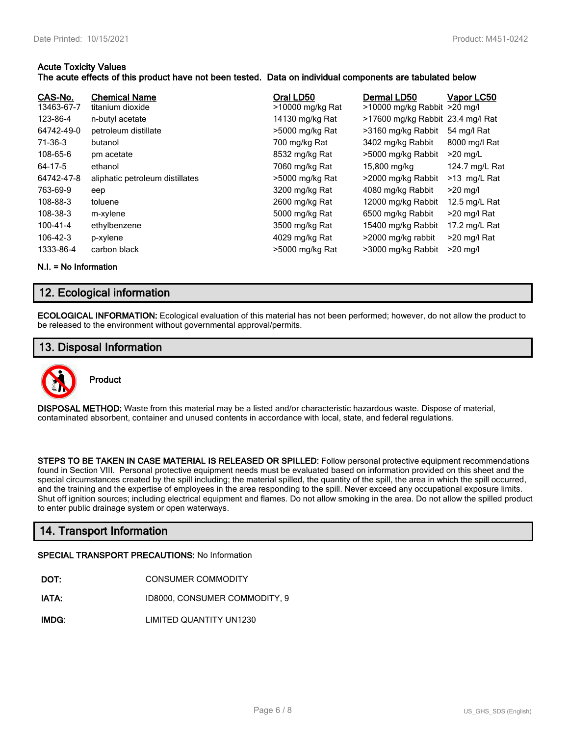## **Acute Toxicity Values**

## **The acute effects of this product have not been tested. Data on individual components are tabulated below**

| CAS-No.<br>13463-67-7 | <b>Chemical Name</b><br>titanium dioxide | Oral LD50<br>>10000 mg/kg Rat | Dermal LD50<br>>10000 mg/kg Rabbit >20 mg/l | Vapor LC50     |
|-----------------------|------------------------------------------|-------------------------------|---------------------------------------------|----------------|
| 123-86-4              | n-butyl acetate                          | 14130 mg/kg Rat               | >17600 mg/kg Rabbit 23.4 mg/l Rat           |                |
| 64742-49-0            | petroleum distillate                     | >5000 mg/kg Rat               | >3160 mg/kg Rabbit                          | 54 mg/l Rat    |
| 71-36-3               | butanol                                  | 700 mg/kg Rat                 | 3402 mg/kg Rabbit                           | 8000 mg/l Rat  |
| 108-65-6              | pm acetate                               | 8532 mg/kg Rat                | >5000 mg/kg Rabbit                          | $>20$ mg/L     |
| 64-17-5               | ethanol                                  | 7060 mg/kg Rat                | 15,800 mg/kg                                | 124.7 mg/L Rat |
| 64742-47-8            | aliphatic petroleum distillates          | >5000 mg/kg Rat               | >2000 mg/kg Rabbit                          | $>13$ mg/L Rat |
| 763-69-9              | eep                                      | 3200 mg/kg Rat                | 4080 mg/kg Rabbit                           | $>20$ mg/l     |
| 108-88-3              | toluene                                  | 2600 mg/kg Rat                | 12000 mg/kg Rabbit                          | 12.5 mg/L Rat  |
| 108-38-3              | m-xylene                                 | 5000 mg/kg Rat                | 6500 mg/kg Rabbit                           | >20 mg/l Rat   |
| 100-41-4              | ethylbenzene                             | 3500 mg/kg Rat                | 15400 mg/kg Rabbit                          | 17.2 mg/L Rat  |
| $106 - 42 - 3$        | p-xylene                                 | 4029 mg/kg Rat                | >2000 mg/kg rabbit                          | >20 mg/l Rat   |
| 1333-86-4             | carbon black                             | >5000 mg/kg Rat               | >3000 mg/kg Rabbit                          | $>20$ mg/l     |

**N.I. = No Information**

# **12. Ecological information**

**ECOLOGICAL INFORMATION:** Ecological evaluation of this material has not been performed; however, do not allow the product to be released to the environment without governmental approval/permits.

# **13. Disposal Information**



**DISPOSAL METHOD:** Waste from this material may be a listed and/or characteristic hazardous waste. Dispose of material, contaminated absorbent, container and unused contents in accordance with local, state, and federal regulations.

**STEPS TO BE TAKEN IN CASE MATERIAL IS RELEASED OR SPILLED:** Follow personal protective equipment recommendations found in Section VIII. Personal protective equipment needs must be evaluated based on information provided on this sheet and the special circumstances created by the spill including; the material spilled, the quantity of the spill, the area in which the spill occurred, and the training and the expertise of employees in the area responding to the spill. Never exceed any occupational exposure limits. Shut off ignition sources; including electrical equipment and flames. Do not allow smoking in the area. Do not allow the spilled product to enter public drainage system or open waterways.

# **14. Transport Information**

#### **SPECIAL TRANSPORT PRECAUTIONS:** No Information

- **IATA:** ID8000, CONSUMER COMMODITY, 9
- **IMDG:** LIMITED QUANTITY UN1230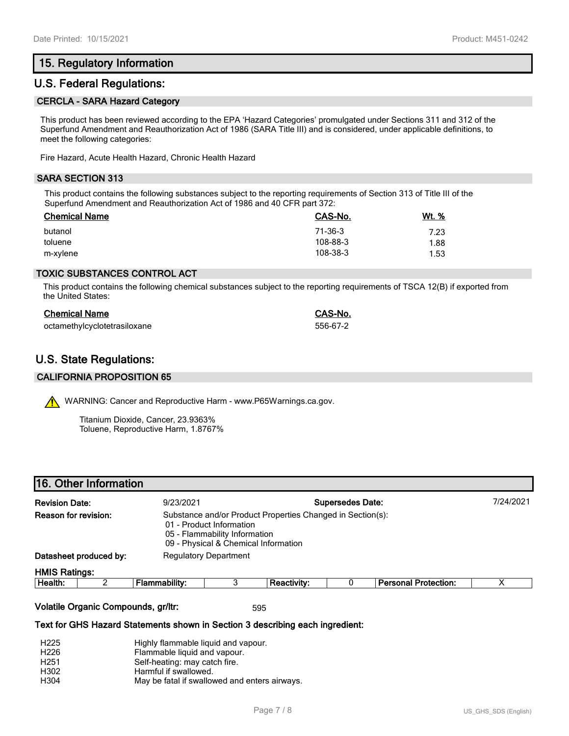# **15. Regulatory Information**

## **U.S. Federal Regulations:**

#### **CERCLA - SARA Hazard Category**

This product has been reviewed according to the EPA 'Hazard Categories' promulgated under Sections 311 and 312 of the Superfund Amendment and Reauthorization Act of 1986 (SARA Title III) and is considered, under applicable definitions, to meet the following categories:

Fire Hazard, Acute Health Hazard, Chronic Health Hazard

## **SARA SECTION 313**

This product contains the following substances subject to the reporting requirements of Section 313 of Title III of the Superfund Amendment and Reauthorization Act of 1986 and 40 CFR part 372:

| <b>Chemical Name</b> | CAS-No.  | <u>Wt. %</u> |
|----------------------|----------|--------------|
| butanol              | 71-36-3  | 7.23         |
| toluene              | 108-88-3 | 1.88         |
| m-xylene             | 108-38-3 | 1.53         |

## **TOXIC SUBSTANCES CONTROL ACT**

This product contains the following chemical substances subject to the reporting requirements of TSCA 12(B) if exported from the United States:

| <b>Chemical Name</b>         | CAS-No.  |
|------------------------------|----------|
| octamethylcyclotetrasiloxane | 556-67-2 |

# **U.S. State Regulations:**

#### **CALIFORNIA PROPOSITION 65**

WARNING: Cancer and Reproductive Harm - www.P65Warnings.ca.gov.

Titanium Dioxide, Cancer, 23.9363% Toluene, Reproductive Harm, 1.8767%

|                      | 16. Other Information                                                                                                                                                                   |                      |  |                    |                             |  |
|----------------------|-----------------------------------------------------------------------------------------------------------------------------------------------------------------------------------------|----------------------|--|--------------------|-----------------------------|--|
|                      | <b>Supersedes Date:</b><br><b>Revision Date:</b><br>9/23/2021                                                                                                                           |                      |  |                    | 7/24/2021                   |  |
|                      | Reason for revision:<br>Substance and/or Product Properties Changed in Section(s):<br>01 - Product Information<br>05 - Flammability Information<br>09 - Physical & Chemical Information |                      |  |                    |                             |  |
|                      | Datasheet produced by:<br><b>Regulatory Department</b>                                                                                                                                  |                      |  |                    |                             |  |
| <b>HMIS Ratings:</b> |                                                                                                                                                                                         |                      |  |                    |                             |  |
| Health:              |                                                                                                                                                                                         | <b>Flammability:</b> |  | <b>Reactivity:</b> | <b>Personal Protection:</b> |  |
|                      |                                                                                                                                                                                         |                      |  |                    |                             |  |

#### **Volatile Organic Compounds, gr/ltr:** 595

ſ

#### **Text for GHS Hazard Statements shown in Section 3 describing each ingredient:**

| H <sub>225</sub> | Highly flammable liquid and vapour.           |
|------------------|-----------------------------------------------|
| H <sub>226</sub> | Flammable liquid and vapour.                  |
| H <sub>251</sub> | Self-heating: may catch fire.                 |
| H302             | Harmful if swallowed.                         |
| H304             | May be fatal if swallowed and enters airways. |